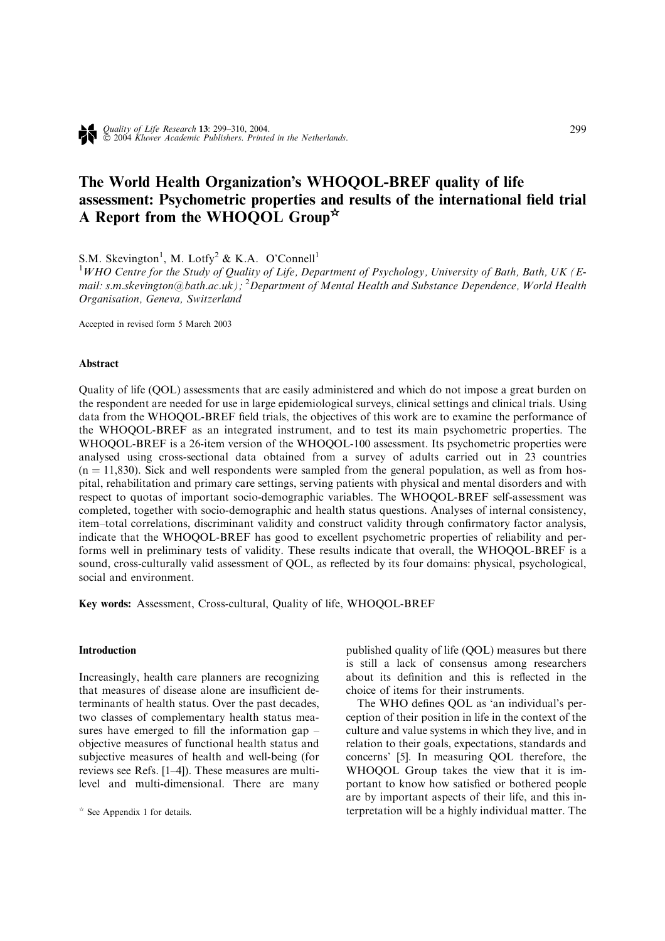# The World Health Organization's WHOQOL-BREF quality of life assessment: Psychometric properties and results of the international field trial A Report from the WHOQOL Group<sup> $\star$ </sup>

S.M. Skevington<sup>1</sup>, M. Lotfy<sup>2</sup> & K.A. O'Connell<sup>1</sup>

<sup>1</sup>WHO Centre for the Study of Quality of Life, Department of Psychology, University of Bath, Bath, UK (Email: s.m.skevington@bath.ac.uk); <sup>2</sup>Department of Mental Health and Substance Dependence, World Health Organisation, Geneva, Switzerland

Accepted in revised form 5 March 2003

## Abstract

Quality of life (QOL) assessments that are easily administered and which do not impose a great burden on the respondent are needed for use in large epidemiological surveys, clinical settings and clinical trials. Using data from the WHOQOL-BREF field trials, the objectives of this work are to examine the performance of the WHOQOL-BREF as an integrated instrument, and to test its main psychometric properties. The WHOQOL-BREF is a 26-item version of the WHOQOL-100 assessment. Its psychometric properties were analysed using cross-sectional data obtained from a survey of adults carried out in 23 countries  $(n = 11,830)$ . Sick and well respondents were sampled from the general population, as well as from hospital, rehabilitation and primary care settings, serving patients with physical and mental disorders and with respect to quotas of important socio-demographic variables. The WHOQOL-BREF self-assessment was completed, together with socio-demographic and health status questions. Analyses of internal consistency, item–total correlations, discriminant validity and construct validity through confirmatory factor analysis, indicate that the WHOQOL-BREF has good to excellent psychometric properties of reliability and performs well in preliminary tests of validity. These results indicate that overall, the WHOQOL-BREF is a sound, cross-culturally valid assessment of QOL, as reflected by its four domains: physical, psychological, social and environment.

Key words: Assessment, Cross-cultural, Quality of life, WHOQOL-BREF

## Introduction

Increasingly, health care planners are recognizing that measures of disease alone are insufficient determinants of health status. Over the past decades, two classes of complementary health status measures have emerged to fill the information gap – objective measures of functional health status and subjective measures of health and well-being (for reviews see Refs. [1–4]). These measures are multilevel and multi-dimensional. There are many published quality of life (QOL) measures but there is still a lack of consensus among researchers about its definition and this is reflected in the choice of items for their instruments.

The WHO defines QOL as 'an individual's perception of their position in life in the context of the culture and value systems in which they live, and in relation to their goals, expectations, standards and concerns' [5]. In measuring QOL therefore, the WHOQOL Group takes the view that it is important to know how satisfied or bothered people are by important aspects of their life, and this in- $\star$  See Appendix 1 for details. The q See Appendix 1 for details.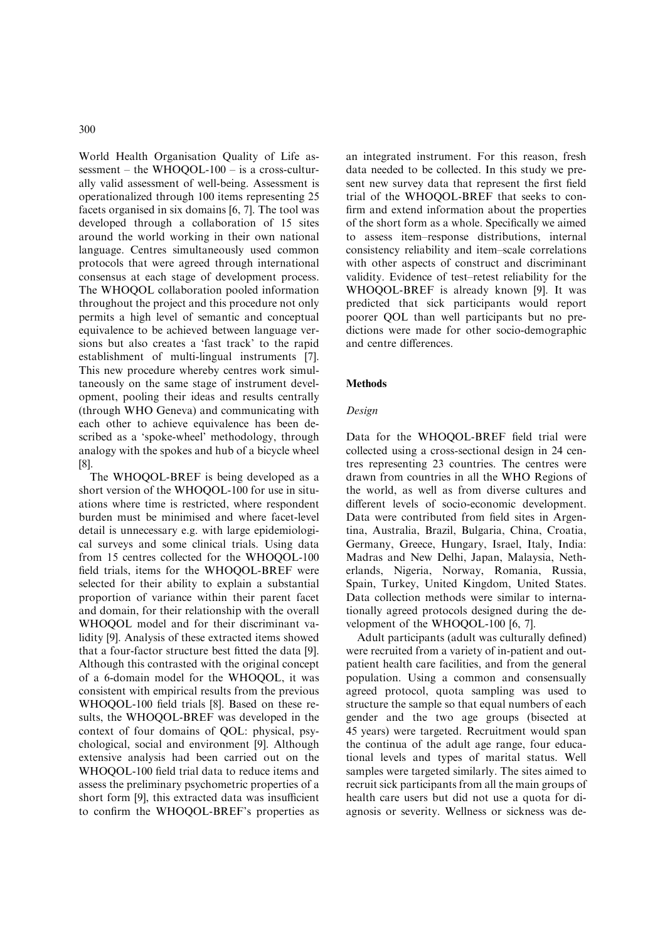World Health Organisation Quality of Life assessment – the WHOQOL-100 – is a cross-culturally valid assessment of well-being. Assessment is operationalized through 100 items representing 25 facets organised in six domains [6, 7]. The tool was developed through a collaboration of 15 sites around the world working in their own national language. Centres simultaneously used common protocols that were agreed through international consensus at each stage of development process. The WHOQOL collaboration pooled information throughout the project and this procedure not only permits a high level of semantic and conceptual equivalence to be achieved between language versions but also creates a 'fast track' to the rapid establishment of multi-lingual instruments [7]. This new procedure whereby centres work simultaneously on the same stage of instrument development, pooling their ideas and results centrally (through WHO Geneva) and communicating with each other to achieve equivalence has been described as a 'spoke-wheel' methodology, through analogy with the spokes and hub of a bicycle wheel [8].

The WHOQOL-BREF is being developed as a short version of the WHOQOL-100 for use in situations where time is restricted, where respondent burden must be minimised and where facet-level detail is unnecessary e.g. with large epidemiological surveys and some clinical trials. Using data from 15 centres collected for the WHOQOL-100 field trials, items for the WHOQOL-BREF were selected for their ability to explain a substantial proportion of variance within their parent facet and domain, for their relationship with the overall WHOQOL model and for their discriminant validity [9]. Analysis of these extracted items showed that a four-factor structure best fitted the data [9]. Although this contrasted with the original concept of a 6-domain model for the WHOQOL, it was consistent with empirical results from the previous WHOQOL-100 field trials [8]. Based on these results, the WHOQOL-BREF was developed in the context of four domains of QOL: physical, psychological, social and environment [9]. Although extensive analysis had been carried out on the WHOQOL-100 field trial data to reduce items and assess the preliminary psychometric properties of a short form [9], this extracted data was insufficient to confirm the WHOQOL-BREF's properties as

an integrated instrument. For this reason, fresh data needed to be collected. In this study we present new survey data that represent the first field trial of the WHOQOL-BREF that seeks to confirm and extend information about the properties of the short form as a whole. Specifically we aimed to assess item–response distributions, internal consistency reliability and item–scale correlations with other aspects of construct and discriminant validity. Evidence of test–retest reliability for the WHOQOL-BREF is already known [9]. It was predicted that sick participants would report poorer QOL than well participants but no predictions were made for other socio-demographic and centre differences.

## **Methods**

## Design

Data for the WHOQOL-BREF field trial were collected using a cross-sectional design in 24 centres representing 23 countries. The centres were drawn from countries in all the WHO Regions of the world, as well as from diverse cultures and different levels of socio-economic development. Data were contributed from field sites in Argentina, Australia, Brazil, Bulgaria, China, Croatia, Germany, Greece, Hungary, Israel, Italy, India: Madras and New Delhi, Japan, Malaysia, Netherlands, Nigeria, Norway, Romania, Russia, Spain, Turkey, United Kingdom, United States. Data collection methods were similar to internationally agreed protocols designed during the development of the WHOQOL-100 [6, 7].

Adult participants (adult was culturally defined) were recruited from a variety of in-patient and outpatient health care facilities, and from the general population. Using a common and consensually agreed protocol, quota sampling was used to structure the sample so that equal numbers of each gender and the two age groups (bisected at 45 years) were targeted. Recruitment would span the continua of the adult age range, four educational levels and types of marital status. Well samples were targeted similarly. The sites aimed to recruit sick participants from all the main groups of health care users but did not use a quota for diagnosis or severity. Wellness or sickness was de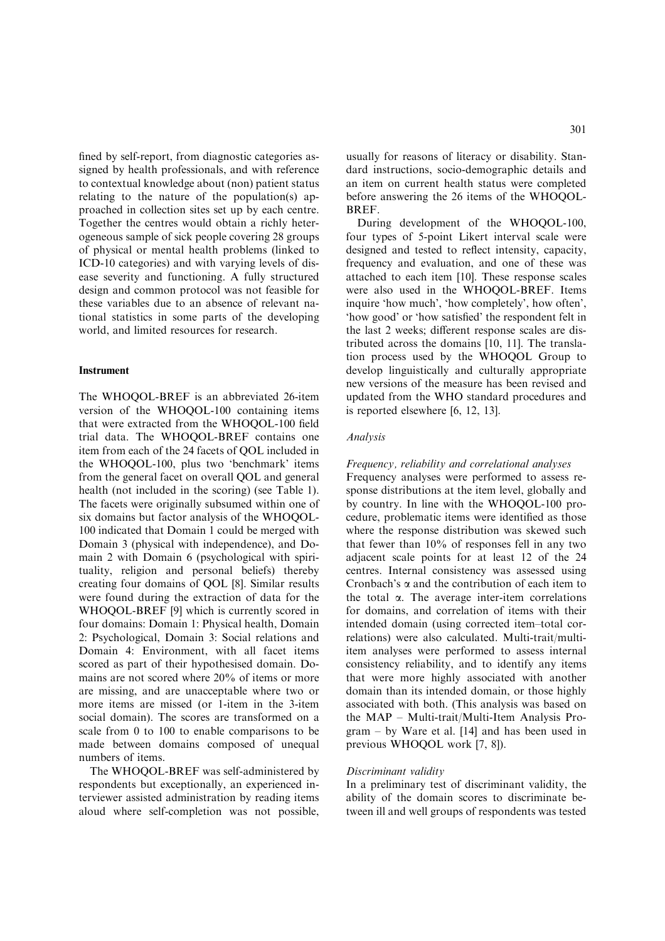fined by self-report, from diagnostic categories assigned by health professionals, and with reference to contextual knowledge about (non) patient status relating to the nature of the population(s) approached in collection sites set up by each centre. Together the centres would obtain a richly heterogeneous sample of sick people covering 28 groups of physical or mental health problems (linked to ICD-10 categories) and with varying levels of disease severity and functioning. A fully structured design and common protocol was not feasible for these variables due to an absence of relevant national statistics in some parts of the developing world, and limited resources for research.

#### **Instrument**

The WHOQOL-BREF is an abbreviated 26-item version of the WHOQOL-100 containing items that were extracted from the WHOQOL-100 field trial data. The WHOQOL-BREF contains one item from each of the 24 facets of QOL included in the WHOQOL-100, plus two 'benchmark' items from the general facet on overall QOL and general health (not included in the scoring) (see Table 1). The facets were originally subsumed within one of six domains but factor analysis of the WHOQOL-100 indicated that Domain 1 could be merged with Domain 3 (physical with independence), and Domain 2 with Domain 6 (psychological with spirituality, religion and personal beliefs) thereby creating four domains of QOL [8]. Similar results were found during the extraction of data for the WHOQOL-BREF [9] which is currently scored in four domains: Domain 1: Physical health, Domain 2: Psychological, Domain 3: Social relations and Domain 4: Environment, with all facet items scored as part of their hypothesised domain. Domains are not scored where 20% of items or more are missing, and are unacceptable where two or more items are missed (or 1-item in the 3-item social domain). The scores are transformed on a scale from 0 to 100 to enable comparisons to be made between domains composed of unequal numbers of items.

The WHOQOL-BREF was self-administered by respondents but exceptionally, an experienced interviewer assisted administration by reading items aloud where self-completion was not possible,

usually for reasons of literacy or disability. Standard instructions, socio-demographic details and an item on current health status were completed before answering the 26 items of the WHOQOL-BREF.

During development of the WHOQOL-100, four types of 5-point Likert interval scale were designed and tested to reflect intensity, capacity, frequency and evaluation, and one of these was attached to each item [10]. These response scales were also used in the WHOQOL-BREF. Items inquire 'how much', 'how completely', how often', 'how good' or 'how satisfied' the respondent felt in the last 2 weeks; different response scales are distributed across the domains [10, 11]. The translation process used by the WHOQOL Group to develop linguistically and culturally appropriate new versions of the measure has been revised and updated from the WHO standard procedures and is reported elsewhere [6, 12, 13].

#### Analysis

#### Frequency, reliability and correlational analyses

Frequency analyses were performed to assess response distributions at the item level, globally and by country. In line with the WHOQOL-100 procedure, problematic items were identified as those where the response distribution was skewed such that fewer than 10% of responses fell in any two adjacent scale points for at least 12 of the 24 centres. Internal consistency was assessed using Cronbach's  $\alpha$  and the contribution of each item to the total  $\alpha$ . The average inter-item correlations for domains, and correlation of items with their intended domain (using corrected item–total correlations) were also calculated. Multi-trait/multiitem analyses were performed to assess internal consistency reliability, and to identify any items that were more highly associated with another domain than its intended domain, or those highly associated with both. (This analysis was based on the MAP – Multi-trait/Multi-Item Analysis Program – by Ware et al. [14] and has been used in previous WHOQOL work [7, 8]).

#### Discriminant validity

In a preliminary test of discriminant validity, the ability of the domain scores to discriminate between ill and well groups of respondents was tested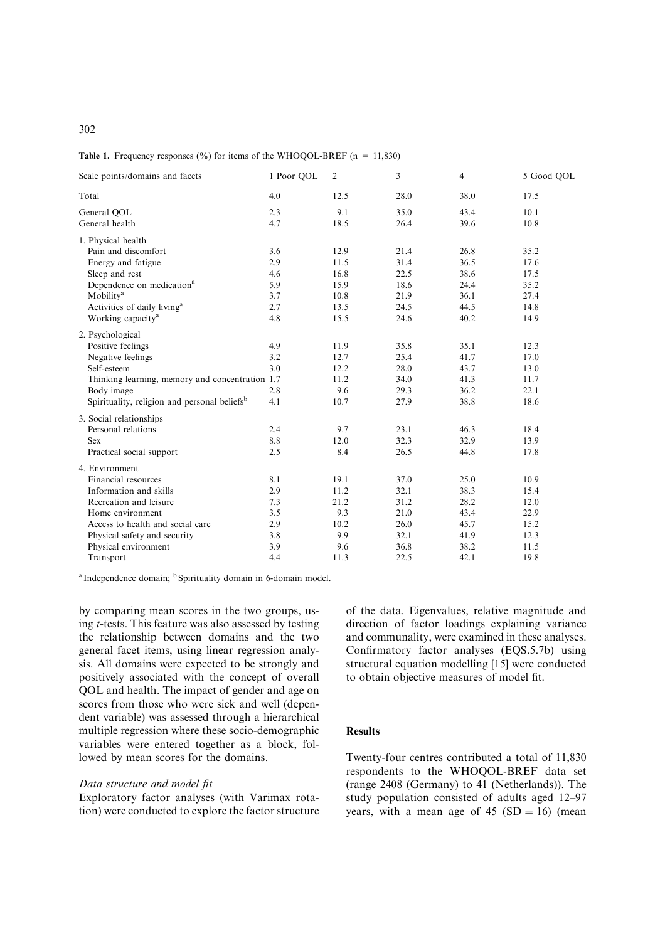|  | <b>Table 1.</b> Frequency responses $\frac{6}{6}$ for items of the WHOQOL-BREF (n = 11,830) |
|--|---------------------------------------------------------------------------------------------|
|  |                                                                                             |

| Scale points/domains and facets                                                                                                                                                                                                                                                                              | 1 Poor QOL                                                         | $\overline{2}$                                                               | 3                                                                            | $\overline{4}$                                                               | 5 Good QOL                                                                   |
|--------------------------------------------------------------------------------------------------------------------------------------------------------------------------------------------------------------------------------------------------------------------------------------------------------------|--------------------------------------------------------------------|------------------------------------------------------------------------------|------------------------------------------------------------------------------|------------------------------------------------------------------------------|------------------------------------------------------------------------------|
| Total                                                                                                                                                                                                                                                                                                        | 4.0                                                                | 12.5                                                                         | 28.0                                                                         | 38.0                                                                         | 17.5                                                                         |
| General QOL<br>General health                                                                                                                                                                                                                                                                                | 2.3<br>4.7                                                         | 9.1<br>18.5                                                                  | 35.0<br>26.4                                                                 | 43.4<br>39.6                                                                 | 10.1<br>10.8                                                                 |
| 1. Physical health<br>Pain and discomfort<br>Energy and fatigue<br>Sleep and rest<br>Dependence on medication <sup>a</sup><br>Mobility <sup>a</sup><br>Activities of daily living <sup>a</sup><br>Working capacity <sup>a</sup><br>2. Psychological<br>Positive feelings<br>Negative feelings<br>Self-esteem | 3.6<br>2.9<br>4.6<br>5.9<br>3.7<br>2.7<br>4.8<br>4.9<br>3.2<br>3.0 | 12.9<br>11.5<br>16.8<br>15.9<br>10.8<br>13.5<br>15.5<br>11.9<br>12.7<br>12.2 | 21.4<br>31.4<br>22.5<br>18.6<br>21.9<br>24.5<br>24.6<br>35.8<br>25.4<br>28.0 | 26.8<br>36.5<br>38.6<br>24.4<br>36.1<br>44.5<br>40.2<br>35.1<br>41.7<br>43.7 | 35.2<br>17.6<br>17.5<br>35.2<br>27.4<br>14.8<br>14.9<br>12.3<br>17.0<br>13.0 |
| Thinking learning, memory and concentration 1.7<br>Body image<br>Spirituality, religion and personal beliefs <sup>b</sup><br>3. Social relationships<br>Personal relations<br>Sex                                                                                                                            | 2.8<br>4.1<br>2.4<br>8.8                                           | 11.2<br>9.6<br>10.7<br>9.7<br>12.0                                           | 34.0<br>29.3<br>27.9<br>23.1<br>32.3                                         | 41.3<br>36.2<br>38.8<br>46.3<br>32.9                                         | 11.7<br>22.1<br>18.6<br>18.4<br>13.9                                         |
| Practical social support                                                                                                                                                                                                                                                                                     | 2.5                                                                | 8.4                                                                          | 26.5                                                                         | 44.8                                                                         | 17.8                                                                         |
| 4. Environment<br>Financial resources<br>Information and skills<br>Recreation and leisure<br>Home environment<br>Access to health and social care<br>Physical safety and security<br>Physical environment<br>Transport                                                                                       | 8.1<br>2.9<br>7.3<br>3.5<br>2.9<br>3.8<br>3.9<br>4.4               | 19.1<br>11.2<br>21.2<br>9.3<br>10.2<br>9.9<br>9.6<br>11.3                    | 37.0<br>32.1<br>31.2<br>21.0<br>26.0<br>32.1<br>36.8<br>22.5                 | 25.0<br>38.3<br>28.2<br>43.4<br>45.7<br>41.9<br>38.2<br>42.1                 | 10.9<br>15.4<br>12.0<br>22.9<br>15.2<br>12.3<br>11.5<br>19.8                 |

<sup>a</sup> Independence domain; <sup>b</sup> Spirituality domain in 6-domain model.

by comparing mean scores in the two groups, using t-tests. This feature was also assessed by testing the relationship between domains and the two general facet items, using linear regression analysis. All domains were expected to be strongly and positively associated with the concept of overall QOL and health. The impact of gender and age on scores from those who were sick and well (dependent variable) was assessed through a hierarchical multiple regression where these socio-demographic variables were entered together as a block, followed by mean scores for the domains.

#### Data structure and model fit

Exploratory factor analyses (with Varimax rotation) were conducted to explore the factor structure of the data. Eigenvalues, relative magnitude and direction of factor loadings explaining variance and communality, were examined in these analyses. Confirmatory factor analyses (EQS.5.7b) using structural equation modelling [15] were conducted to obtain objective measures of model fit.

## **Results**

Twenty-four centres contributed a total of 11,830 respondents to the WHOQOL-BREF data set (range 2408 (Germany) to 41 (Netherlands)). The study population consisted of adults aged 12–97 years, with a mean age of 45  $(SD = 16)$  (mean

## 302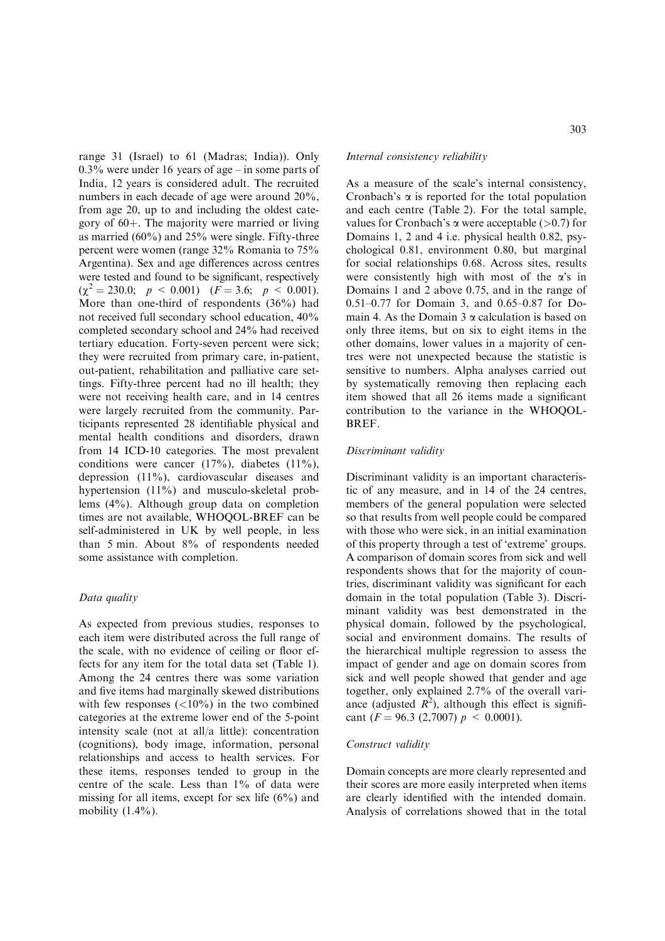range 31 (Israel) to 61 (Madras; India)). Only 0.3% were under 16 years of age – in some parts of India, 12 years is considered adult. The recruited numbers in each decade of age were around 20%, from age 20, up to and including the oldest category of  $60+$ . The majority were married or living as married (60%) and 25% were single. Fifty-three percent were women (range 32% Romania to 75% Argentina). Sex and age differences across centres were tested and found to be significant, respectively  $(\chi^2 = 230.0; \ p \le 0.001) \ (F = 3.6; \ p \le 0.001).$ More than one-third of respondents (36%) had not received full secondary school education, 40% completed secondary school and 24% had received tertiary education. Forty-seven percent were sick; they were recruited from primary care, in-patient, out-patient, rehabilitation and palliative care settings. Fifty-three percent had no ill health; they were not receiving health care, and in 14 centres were largely recruited from the community. Participants represented 28 identifiable physical and mental health conditions and disorders, drawn from 14 ICD-10 categories. The most prevalent conditions were cancer  $(17\%)$ , diabetes  $(11\%)$ , depression (11%), cardiovascular diseases and hypertension (11%) and musculo-skeletal problems (4%). Although group data on completion times are not available, WHOQOL-BREF can be self-administered in UK by well people, in less than 5 min. About 8% of respondents needed some assistance with completion.

## Data quality

As expected from previous studies, responses to each item were distributed across the full range of the scale, with no evidence of ceiling or floor effects for any item for the total data set (Table 1). Among the 24 centres there was some variation and five items had marginally skewed distributions with few responses  $\left( \langle 10\% \rangle \right)$  in the two combined categories at the extreme lower end of the 5-point intensity scale (not at all/a little): concentration (cognitions), body image, information, personal relationships and access to health services. For these items, responses tended to group in the centre of the scale. Less than 1% of data were missing for all items, except for sex life (6%) and mobility  $(1.4\%)$ .

## Internal consistency reliability

As a measure of the scale's internal consistency, Cronbach's  $\alpha$  is reported for the total population and each centre (Table 2). For the total sample, values for Cronbach's  $\alpha$  were acceptable (>0.7) for Domains 1, 2 and 4 i.e. physical health 0.82, psychological 0.81, environment 0.80, but marginal for social relationships 0.68. Across sites, results were consistently high with most of the  $\alpha$ 's in Domains 1 and 2 above 0.75, and in the range of 0.51–0.77 for Domain 3, and 0.65–0.87 for Domain 4. As the Domain  $3 \alpha$  calculation is based on only three items, but on six to eight items in the other domains, lower values in a majority of centres were not unexpected because the statistic is sensitive to numbers. Alpha analyses carried out by systematically removing then replacing each item showed that all 26 items made a significant contribution to the variance in the WHOQOL-BREF.

#### Discriminant validity

Discriminant validity is an important characteristic of any measure, and in 14 of the 24 centres, members of the general population were selected so that results from well people could be compared with those who were sick, in an initial examination of this property through a test of 'extreme' groups. A comparison of domain scores from sick and well respondents shows that for the majority of countries, discriminant validity was significant for each domain in the total population (Table 3). Discriminant validity was best demonstrated in the physical domain, followed by the psychological, social and environment domains. The results of the hierarchical multiple regression to assess the impact of gender and age on domain scores from sick and well people showed that gender and age together, only explained 2.7% of the overall variance (adjusted  $R^2$ ), although this effect is significant ( $F = 96.3$  (2,7007)  $p \le 0.0001$ ).

#### Construct validity

Domain concepts are more clearly represented and their scores are more easily interpreted when items are clearly identified with the intended domain. Analysis of correlations showed that in the total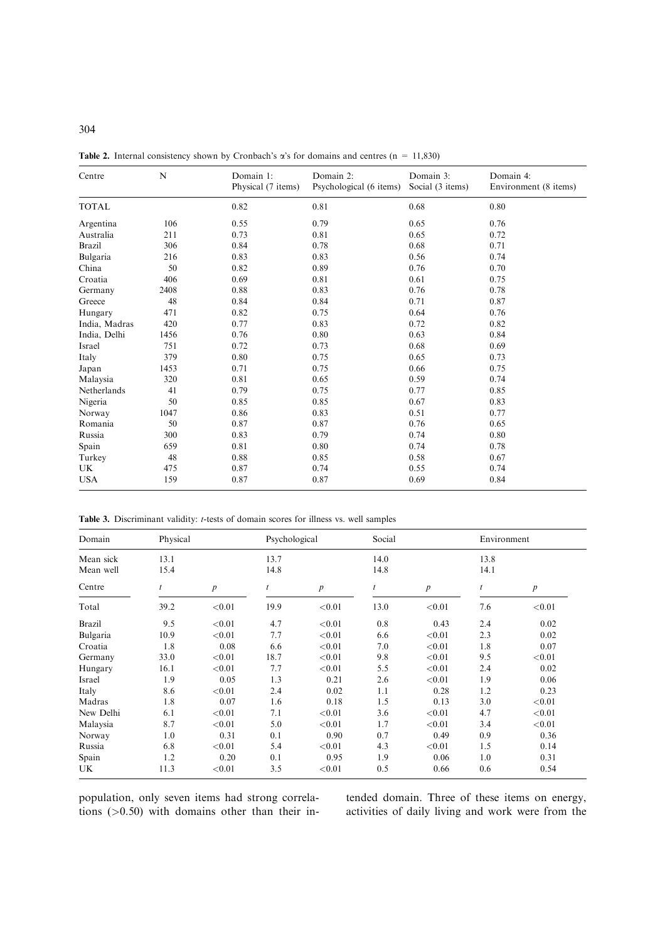| Centre        | N    | Domain 1:<br>Physical (7 items) | Domain 2:<br>Psychological (6 items) | Domain 3:<br>Social (3 items) | Domain 4:<br>Environment (8 items) |
|---------------|------|---------------------------------|--------------------------------------|-------------------------------|------------------------------------|
| <b>TOTAL</b>  |      | 0.82                            | 0.81                                 | 0.68                          | 0.80                               |
| Argentina     | 106  | 0.55                            | 0.79                                 | 0.65                          | 0.76                               |
| Australia     | 211  | 0.73                            | 0.81                                 | 0.65                          | 0.72                               |
| <b>Brazil</b> | 306  | 0.84                            | 0.78                                 | 0.68                          | 0.71                               |
| Bulgaria      | 216  | 0.83                            | 0.83                                 | 0.56                          | 0.74                               |
| China         | 50   | 0.82                            | 0.89                                 | 0.76                          | 0.70                               |
| Croatia       | 406  | 0.69                            | 0.81                                 | 0.61                          | 0.75                               |
| Germany       | 2408 | 0.88                            | 0.83                                 | 0.76                          | 0.78                               |
| Greece        | 48   | 0.84                            | 0.84                                 | 0.71                          | 0.87                               |
| Hungary       | 471  | 0.82                            | 0.75                                 | 0.64                          | 0.76                               |
| India, Madras | 420  | 0.77                            | 0.83                                 | 0.72                          | 0.82                               |
| India, Delhi  | 1456 | 0.76                            | 0.80                                 | 0.63                          | 0.84                               |
| Israel        | 751  | 0.72                            | 0.73                                 | 0.68                          | 0.69                               |
| Italy         | 379  | 0.80                            | 0.75                                 | 0.65                          | 0.73                               |
| Japan         | 1453 | 0.71                            | 0.75                                 | 0.66                          | 0.75                               |
| Malaysia      | 320  | 0.81                            | 0.65                                 | 0.59                          | 0.74                               |
| Netherlands   | 41   | 0.79                            | 0.75                                 | 0.77                          | 0.85                               |
| Nigeria       | 50   | 0.85                            | 0.85                                 | 0.67                          | 0.83                               |
| Norway        | 1047 | 0.86                            | 0.83                                 | 0.51                          | 0.77                               |
| Romania       | 50   | 0.87                            | 0.87                                 | 0.76                          | 0.65                               |
| Russia        | 300  | 0.83                            | 0.79                                 | 0.74                          | 0.80                               |
| Spain         | 659  | 0.81                            | 0.80                                 | 0.74                          | 0.78                               |
| Turkey        | 48   | 0.88                            | 0.85                                 | 0.58                          | 0.67                               |
| UK.           | 475  | 0.87                            | 0.74                                 | 0.55                          | 0.74                               |
| <b>USA</b>    | 159  | 0.87                            | 0.87                                 | 0.69                          | 0.84                               |

**Table 2.** Internal consistency shown by Cronbach's  $\alpha$ 's for domains and centres (n = 11,830)

Table 3. Discriminant validity: t-tests of domain scores for illness vs. well samples

| Domain                 | Physical     |                  |              | Psychological    |              | Social           |              | Environment      |  |
|------------------------|--------------|------------------|--------------|------------------|--------------|------------------|--------------|------------------|--|
| Mean sick<br>Mean well | 13.1<br>15.4 |                  | 13.7<br>14.8 |                  | 14.0<br>14.8 |                  | 13.8<br>14.1 |                  |  |
| Centre                 |              | $\boldsymbol{p}$ |              | $\boldsymbol{p}$ |              | $\boldsymbol{p}$ | t            | $\boldsymbol{p}$ |  |
| Total                  | 39.2         | < 0.01           | 19.9         | < 0.01           | 13.0         | < 0.01           | 7.6          | < 0.01           |  |
| <b>Brazil</b>          | 9.5          | < 0.01           | 4.7          | < 0.01           | 0.8          | 0.43             | 2.4          | 0.02             |  |
| Bulgaria               | 10.9         | < 0.01           | 7.7          | < 0.01           | 6.6          | < 0.01           | 2.3          | 0.02             |  |
| Croatia                | 1.8          | 0.08             | 6.6          | < 0.01           | 7.0          | < 0.01           | 1.8          | 0.07             |  |
| Germany                | 33.0         | < 0.01           | 18.7         | < 0.01           | 9.8          | < 0.01           | 9.5          | < 0.01           |  |
| Hungary                | 16.1         | < 0.01           | 7.7          | < 0.01           | 5.5          | < 0.01           | 2.4          | 0.02             |  |
| Israel                 | 1.9          | 0.05             | 1.3          | 0.21             | 2.6          | < 0.01           | 1.9          | 0.06             |  |
| Italy                  | 8.6          | < 0.01           | 2.4          | 0.02             | 1.1          | 0.28             | 1.2          | 0.23             |  |
| Madras                 | 1.8          | 0.07             | 1.6          | 0.18             | 1.5          | 0.13             | 3.0          | < 0.01           |  |
| New Delhi              | 6.1          | < 0.01           | 7.1          | < 0.01           | 3.6          | < 0.01           | 4.7          | < 0.01           |  |
| Malaysia               | 8.7          | < 0.01           | 5.0          | < 0.01           | 1.7          | < 0.01           | 3.4          | < 0.01           |  |
| Norway                 | 1.0          | 0.31             | 0.1          | 0.90             | 0.7          | 0.49             | 0.9          | 0.36             |  |
| Russia                 | 6.8          | < 0.01           | 5.4          | < 0.01           | 4.3          | < 0.01           | 1.5          | 0.14             |  |
| Spain                  | 1.2          | 0.20             | 0.1          | 0.95             | 1.9          | 0.06             | 1.0          | 0.31             |  |
| UK                     | 11.3         | < 0.01           | 3.5          | < 0.01           | 0.5          | 0.66             | 0.6          | 0.54             |  |

population, only seven items had strong correlations (>0.50) with domains other than their intended domain. Three of these items on energy, activities of daily living and work were from the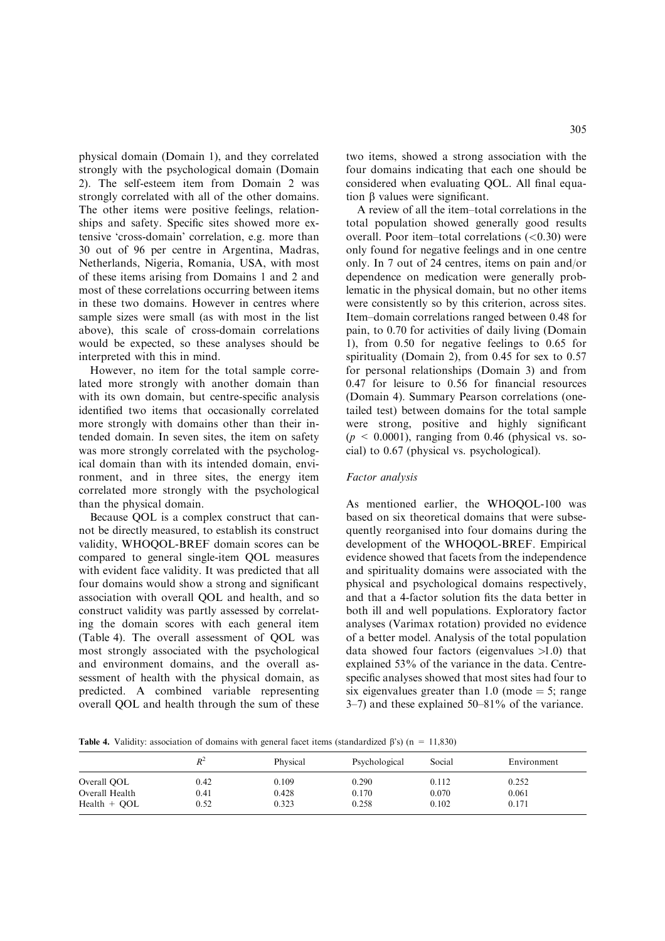physical domain (Domain 1), and they correlated strongly with the psychological domain (Domain 2). The self-esteem item from Domain 2 was strongly correlated with all of the other domains. The other items were positive feelings, relationships and safety. Specific sites showed more extensive 'cross-domain' correlation, e.g. more than 30 out of 96 per centre in Argentina, Madras, Netherlands, Nigeria, Romania, USA, with most of these items arising from Domains 1 and 2 and most of these correlations occurring between items in these two domains. However in centres where sample sizes were small (as with most in the list above), this scale of cross-domain correlations would be expected, so these analyses should be interpreted with this in mind.

However, no item for the total sample correlated more strongly with another domain than with its own domain, but centre-specific analysis identified two items that occasionally correlated more strongly with domains other than their intended domain. In seven sites, the item on safety was more strongly correlated with the psychological domain than with its intended domain, environment, and in three sites, the energy item correlated more strongly with the psychological than the physical domain.

Because QOL is a complex construct that cannot be directly measured, to establish its construct validity, WHOQOL-BREF domain scores can be compared to general single-item QOL measures with evident face validity. It was predicted that all four domains would show a strong and significant association with overall QOL and health, and so construct validity was partly assessed by correlating the domain scores with each general item (Table 4). The overall assessment of QOL was most strongly associated with the psychological and environment domains, and the overall assessment of health with the physical domain, as predicted. A combined variable representing overall QOL and health through the sum of these

two items, showed a strong association with the four domains indicating that each one should be considered when evaluating QOL. All final equation  $\beta$  values were significant.

A review of all the item–total correlations in the total population showed generally good results overall. Poor item–total correlations  $( $0.30$ )$  were only found for negative feelings and in one centre only. In 7 out of 24 centres, items on pain and/or dependence on medication were generally problematic in the physical domain, but no other items were consistently so by this criterion, across sites. Item–domain correlations ranged between 0.48 for pain, to 0.70 for activities of daily living (Domain 1), from 0.50 for negative feelings to 0.65 for spirituality (Domain 2), from 0.45 for sex to 0.57 for personal relationships (Domain 3) and from 0.47 for leisure to 0.56 for financial resources (Domain 4). Summary Pearson correlations (onetailed test) between domains for the total sample were strong, positive and highly significant  $(p \le 0.0001)$ , ranging from 0.46 (physical vs. social) to 0.67 (physical vs. psychological).

#### Factor analysis

As mentioned earlier, the WHOQOL-100 was based on six theoretical domains that were subsequently reorganised into four domains during the development of the WHOQOL-BREF. Empirical evidence showed that facets from the independence and spirituality domains were associated with the physical and psychological domains respectively, and that a 4-factor solution fits the data better in both ill and well populations. Exploratory factor analyses (Varimax rotation) provided no evidence of a better model. Analysis of the total population data showed four factors (eigenvalues  $>1.0$ ) that explained 53% of the variance in the data. Centrespecific analyses showed that most sites had four to six eigenvalues greater than 1.0 (mode  $=$  5; range 3–7) and these explained 50–81% of the variance.

**Table 4.** Validity: association of domains with general facet items (standardized  $\beta$ 's) (n = 11,830)

|                | $R^2$ | Physical | Psychological | Social | Environment |
|----------------|-------|----------|---------------|--------|-------------|
| Overall OOL    | 0.42  | 0.109    | 0.290         | 0.112  | 0.252       |
| Overall Health | 0.41  | 0.428    | 0.170         | 0.070  | 0.061       |
| Health + OOL   | 0.52  | 0.323    | 0.258         | 0.102  | 0.171       |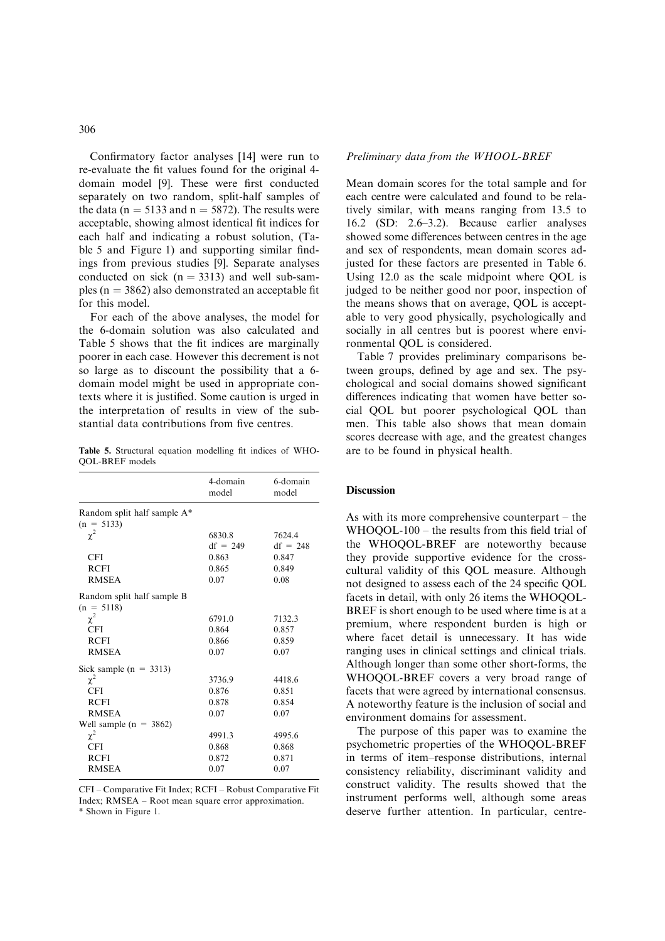## 306

Confirmatory factor analyses [14] were run to re-evaluate the fit values found for the original 4 domain model [9]. These were first conducted separately on two random, split-half samples of the data ( $n = 5133$  and  $n = 5872$ ). The results were acceptable, showing almost identical fit indices for each half and indicating a robust solution, (Table 5 and Figure 1) and supporting similar findings from previous studies [9]. Separate analyses conducted on sick  $(n = 3313)$  and well sub-samples ( $n = 3862$ ) also demonstrated an acceptable fit for this model.

For each of the above analyses, the model for the 6-domain solution was also calculated and Table 5 shows that the fit indices are marginally poorer in each case. However this decrement is not so large as to discount the possibility that a 6 domain model might be used in appropriate contexts where it is justified. Some caution is urged in the interpretation of results in view of the substantial data contributions from five centres.

Table 5. Structural equation modelling fit indices of WHO-QOL-BREF models

|                             | 4-domain<br>model | 6-domain<br>model |
|-----------------------------|-------------------|-------------------|
| Random split half sample A* |                   |                   |
| $(n = 5133)$                |                   |                   |
| $\chi^2$                    | 6830.8            | 7624.4            |
|                             | $df = 249$        | $df = 248$        |
| <b>CFI</b>                  | 0.863             | 0.847             |
| <b>RCFI</b>                 | 0.865             | 0.849             |
| <b>RMSEA</b>                | 0.07              | 0.08              |
| Random split half sample B  |                   |                   |
| $(n = 5118)$                |                   |                   |
| $\chi^2$                    | 6791.0            | 7132.3            |
| <b>CFI</b>                  | 0.864             | 0.857             |
| <b>RCFI</b>                 | 0.866             | 0.859             |
| <b>RMSEA</b>                | 0.07              | 0.07              |
| Sick sample $(n = 3313)$    |                   |                   |
| $\chi^2$                    | 3736.9            | 4418.6            |
| <b>CFI</b>                  | 0.876             | 0.851             |
| <b>RCFI</b>                 | 0.878             | 0.854             |
| <b>RMSEA</b>                | 0.07              | 0.07              |
| Well sample $(n = 3862)$    |                   |                   |
| $\chi^2$                    | 4991.3            | 4995.6            |
| CFI                         | 0.868             | 0.868             |
| <b>RCFI</b>                 | 0.872             | 0.871             |
| <b>RMSEA</b>                | 0.07              | 0.07              |

CFI – Comparative Fit Index; RCFI – Robust Comparative Fit Index; RMSEA – Root mean square error approximation. \* Shown in Figure 1.

#### Preliminary data from the WHOOL-BREF

Mean domain scores for the total sample and for each centre were calculated and found to be relatively similar, with means ranging from 13.5 to 16.2 (SD: 2.6–3.2). Because earlier analyses showed some differences between centres in the age and sex of respondents, mean domain scores adjusted for these factors are presented in Table 6. Using 12.0 as the scale midpoint where QOL is judged to be neither good nor poor, inspection of the means shows that on average, QOL is acceptable to very good physically, psychologically and socially in all centres but is poorest where environmental QOL is considered.

Table 7 provides preliminary comparisons between groups, defined by age and sex. The psychological and social domains showed significant differences indicating that women have better social QOL but poorer psychological QOL than men. This table also shows that mean domain scores decrease with age, and the greatest changes are to be found in physical health.

#### **Discussion**

As with its more comprehensive counterpart – the WHOQOL-100 – the results from this field trial of the WHOQOL-BREF are noteworthy because they provide supportive evidence for the crosscultural validity of this QOL measure. Although not designed to assess each of the 24 specific QOL facets in detail, with only 26 items the WHOQOL-BREF is short enough to be used where time is at a premium, where respondent burden is high or where facet detail is unnecessary. It has wide ranging uses in clinical settings and clinical trials. Although longer than some other short-forms, the WHOQOL-BREF covers a very broad range of facets that were agreed by international consensus. A noteworthy feature is the inclusion of social and environment domains for assessment.

The purpose of this paper was to examine the psychometric properties of the WHOQOL-BREF in terms of item–response distributions, internal consistency reliability, discriminant validity and construct validity. The results showed that the instrument performs well, although some areas deserve further attention. In particular, centre-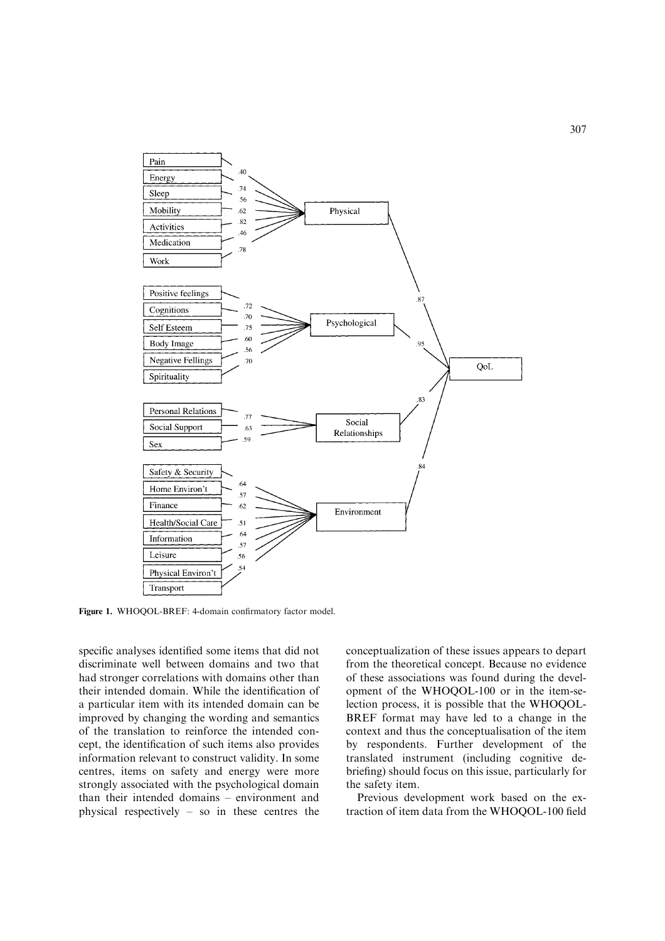

Figure 1. WHOQOL-BREF: 4-domain confirmatory factor model.

specific analyses identified some items that did not discriminate well between domains and two that had stronger correlations with domains other than their intended domain. While the identification of a particular item with its intended domain can be improved by changing the wording and semantics of the translation to reinforce the intended concept, the identification of such items also provides information relevant to construct validity. In some centres, items on safety and energy were more strongly associated with the psychological domain than their intended domains – environment and physical respectively – so in these centres the

conceptualization of these issues appears to depart from the theoretical concept. Because no evidence of these associations was found during the development of the WHOQOL-100 or in the item-selection process, it is possible that the WHOQOL-BREF format may have led to a change in the context and thus the conceptualisation of the item by respondents. Further development of the translated instrument (including cognitive debriefing) should focus on this issue, particularly for the safety item.

Previous development work based on the extraction of item data from the WHOQOL-100 field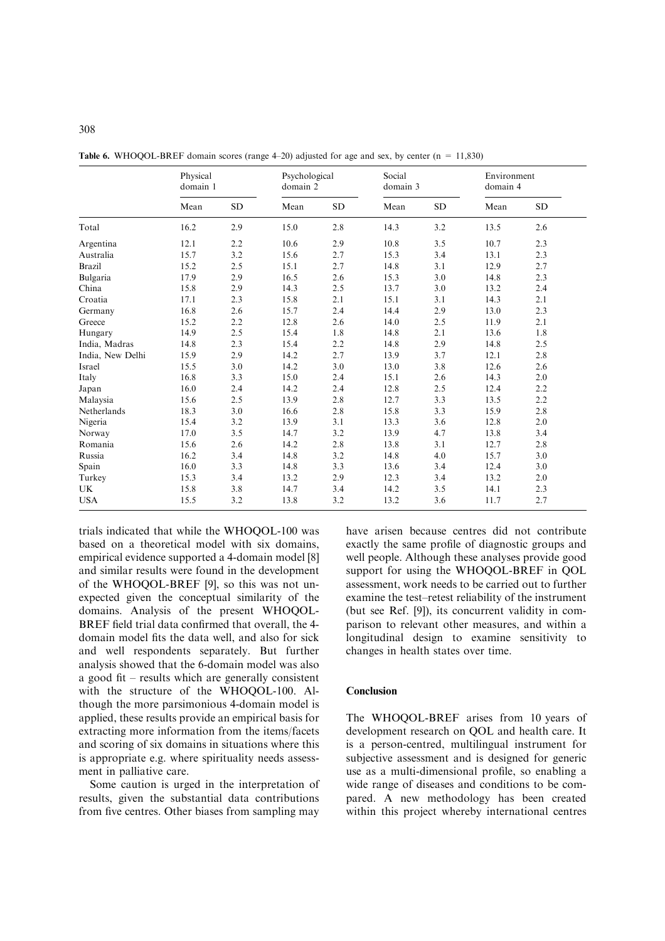|                  | Physical<br>domain 1 |           |      | Psychological<br>domain 2 |      | Social<br>domain 3 |      | Environment<br>domain 4 |
|------------------|----------------------|-----------|------|---------------------------|------|--------------------|------|-------------------------|
|                  | Mean                 | <b>SD</b> | Mean | <b>SD</b>                 | Mean | <b>SD</b>          | Mean | <b>SD</b>               |
| Total            | 16.2                 | 2.9       | 15.0 | 2.8                       | 14.3 | 3.2                | 13.5 | 2.6                     |
| Argentina        | 12.1                 | 2.2       | 10.6 | 2.9                       | 10.8 | 3.5                | 10.7 | 2.3                     |
| Australia        | 15.7                 | 3.2       | 15.6 | 2.7                       | 15.3 | 3.4                | 13.1 | 2.3                     |
| <b>Brazil</b>    | 15.2                 | 2.5       | 15.1 | 2.7                       | 14.8 | 3.1                | 12.9 | 2.7                     |
| Bulgaria         | 17.9                 | 2.9       | 16.5 | 2.6                       | 15.3 | 3.0                | 14.8 | 2.3                     |
| China            | 15.8                 | 2.9       | 14.3 | 2.5                       | 13.7 | 3.0                | 13.2 | 2.4                     |
| Croatia          | 17.1                 | 2.3       | 15.8 | 2.1                       | 15.1 | 3.1                | 14.3 | 2.1                     |
| Germany          | 16.8                 | 2.6       | 15.7 | 2.4                       | 14.4 | 2.9                | 13.0 | 2.3                     |
| Greece           | 15.2                 | 2.2       | 12.8 | 2.6                       | 14.0 | 2.5                | 11.9 | 2.1                     |
| Hungary          | 14.9                 | 2.5       | 15.4 | 1.8                       | 14.8 | 2.1                | 13.6 | 1.8                     |
| India, Madras    | 14.8                 | 2.3       | 15.4 | 2.2                       | 14.8 | 2.9                | 14.8 | 2.5                     |
| India, New Delhi | 15.9                 | 2.9       | 14.2 | 2.7                       | 13.9 | 3.7                | 12.1 | 2.8                     |
| Israel           | 15.5                 | 3.0       | 14.2 | 3.0                       | 13.0 | 3.8                | 12.6 | 2.6                     |
| Italy            | 16.8                 | 3.3       | 15.0 | 2.4                       | 15.1 | 2.6                | 14.3 | $2.0\,$                 |
| Japan            | 16.0                 | 2.4       | 14.2 | 2.4                       | 12.8 | 2.5                | 12.4 | 2.2                     |
| Malaysia         | 15.6                 | 2.5       | 13.9 | 2.8                       | 12.7 | 3.3                | 13.5 | 2.2                     |
| Netherlands      | 18.3                 | 3.0       | 16.6 | 2.8                       | 15.8 | 3.3                | 15.9 | 2.8                     |
| Nigeria          | 15.4                 | 3.2       | 13.9 | 3.1                       | 13.3 | 3.6                | 12.8 | 2.0                     |
| Norway           | 17.0                 | 3.5       | 14.7 | 3.2                       | 13.9 | 4.7                | 13.8 | 3.4                     |
| Romania          | 15.6                 | 2.6       | 14.2 | 2.8                       | 13.8 | 3.1                | 12.7 | 2.8                     |
| Russia           | 16.2                 | 3.4       | 14.8 | 3.2                       | 14.8 | 4.0                | 15.7 | 3.0                     |
| Spain            | 16.0                 | 3.3       | 14.8 | 3.3                       | 13.6 | 3.4                | 12.4 | 3.0                     |
| Turkey           | 15.3                 | 3.4       | 13.2 | 2.9                       | 12.3 | 3.4                | 13.2 | 2.0                     |
| UK               | 15.8                 | 3.8       | 14.7 | 3.4                       | 14.2 | 3.5                | 14.1 | 2.3                     |
| <b>USA</b>       | 15.5                 | 3.2       | 13.8 | 3.2                       | 13.2 | 3.6                | 11.7 | 2.7                     |

**Table 6.** WHOQOL-BREF domain scores (range  $4-20$ ) adjusted for age and sex, by center ( $n = 11,830$ )

trials indicated that while the WHOQOL-100 was based on a theoretical model with six domains, empirical evidence supported a 4-domain model [8] and similar results were found in the development of the WHOQOL-BREF [9], so this was not unexpected given the conceptual similarity of the domains. Analysis of the present WHOQOL-BREF field trial data confirmed that overall, the 4 domain model fits the data well, and also for sick and well respondents separately. But further analysis showed that the 6-domain model was also a good fit – results which are generally consistent with the structure of the WHOQOL-100. Although the more parsimonious 4-domain model is applied, these results provide an empirical basis for extracting more information from the items/facets and scoring of six domains in situations where this is appropriate e.g. where spirituality needs assessment in palliative care.

Some caution is urged in the interpretation of results, given the substantial data contributions from five centres. Other biases from sampling may have arisen because centres did not contribute exactly the same profile of diagnostic groups and well people. Although these analyses provide good support for using the WHOQOL-BREF in QOL assessment, work needs to be carried out to further examine the test–retest reliability of the instrument (but see Ref. [9]), its concurrent validity in comparison to relevant other measures, and within a longitudinal design to examine sensitivity to changes in health states over time.

# Conclusion

The WHOQOL-BREF arises from 10 years of development research on QOL and health care. It is a person-centred, multilingual instrument for subjective assessment and is designed for generic use as a multi-dimensional profile, so enabling a wide range of diseases and conditions to be compared. A new methodology has been created within this project whereby international centres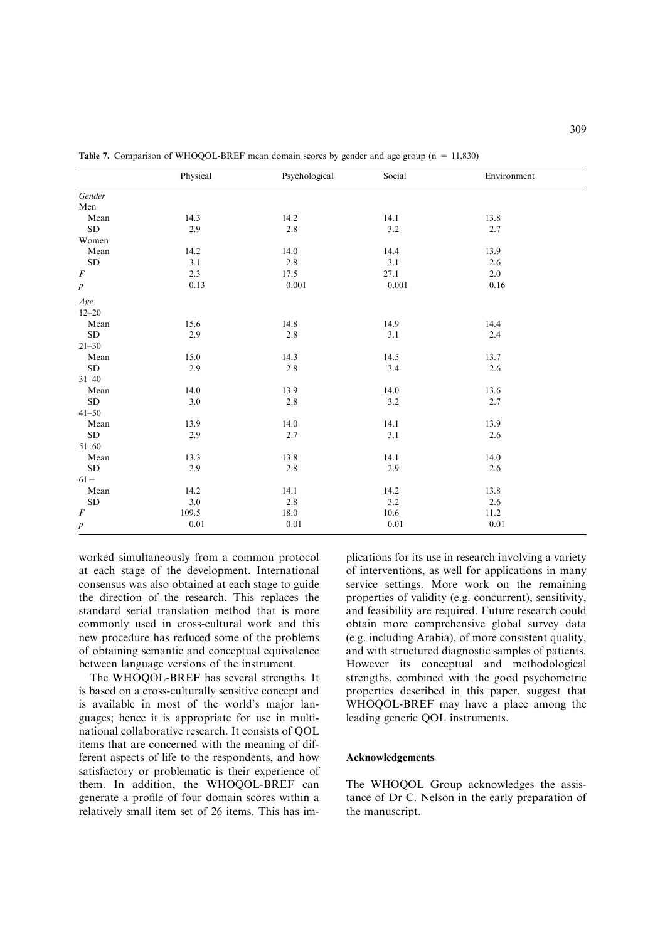|                  | Physical | Psychological | Social   | Environment |
|------------------|----------|---------------|----------|-------------|
| Gender           |          |               |          |             |
| Men              |          |               |          |             |
| Mean             | 14.3     | 14.2          | 14.1     | 13.8        |
| ${\rm SD}$       | 2.9      | 2.8           | 3.2      | 2.7         |
| Women            |          |               |          |             |
| Mean             | 14.2     | 14.0          | 14.4     | 13.9        |
| ${\rm SD}$       | 3.1      | 2.8           | 3.1      | 2.6         |
| $\cal F$         | 2.3      | 17.5          | 27.1     | 2.0         |
| $\boldsymbol{p}$ | 0.13     | $0.001\,$     | 0.001    | 0.16        |
| Age              |          |               |          |             |
| $12 - 20$        |          |               |          |             |
| Mean             | 15.6     | 14.8          | 14.9     | 14.4        |
| ${\rm SD}$       | 2.9      | $2.8\,$       | 3.1      | 2.4         |
| $21 - 30$        |          |               |          |             |
| Mean             | 15.0     | 14.3          | 14.5     | 13.7        |
| ${\rm SD}$       | 2.9      | 2.8           | 3.4      | 2.6         |
| $31 - 40$        |          |               |          |             |
| Mean             | 14.0     | 13.9          | 14.0     | 13.6        |
| ${\rm SD}$       | 3.0      | $2.8\,$       | 3.2      | 2.7         |
| $41 - 50$        |          |               |          |             |
| Mean             | 13.9     | 14.0          | 14.1     | 13.9        |
| ${\rm SD}$       | 2.9      | 2.7           | 3.1      | 2.6         |
| $51 - 60$        |          |               |          |             |
| Mean             | 13.3     | 13.8          | 14.1     | 14.0        |
| SD               | 2.9      | $2.8\,$       | 2.9      | 2.6         |
| $61 +$           |          |               |          |             |
| ${\bf Mean}$     | 14.2     | 14.1          | 14.2     | 13.8        |
| ${\rm SD}$       | 3.0      | 2.8           | 3.2      | 2.6         |
| $\cal F$         | 109.5    | 18.0          | 10.6     | 11.2        |
| $\boldsymbol{p}$ | 0.01     | $0.01\,$      | $0.01\,$ | 0.01        |

Table 7. Comparison of WHOQOL-BREF mean domain scores by gender and age group (n = 11,830)

worked simultaneously from a common protocol at each stage of the development. International consensus was also obtained at each stage to guide the direction of the research. This replaces the standard serial translation method that is more commonly used in cross-cultural work and this new procedure has reduced some of the problems of obtaining semantic and conceptual equivalence between language versions of the instrument.

The WHOQOL-BREF has several strengths. It is based on a cross-culturally sensitive concept and is available in most of the world's major languages; hence it is appropriate for use in multinational collaborative research. It consists of QOL items that are concerned with the meaning of different aspects of life to the respondents, and how satisfactory or problematic is their experience of them. In addition, the WHOQOL-BREF can generate a profile of four domain scores within a relatively small item set of 26 items. This has implications for its use in research involving a variety of interventions, as well for applications in many service settings. More work on the remaining properties of validity (e.g. concurrent), sensitivity, and feasibility are required. Future research could obtain more comprehensive global survey data (e.g. including Arabia), of more consistent quality, and with structured diagnostic samples of patients. However its conceptual and methodological strengths, combined with the good psychometric properties described in this paper, suggest that WHOQOL-BREF may have a place among the leading generic QOL instruments.

#### Acknowledgements

The WHOQOL Group acknowledges the assistance of Dr C. Nelson in the early preparation of the manuscript.